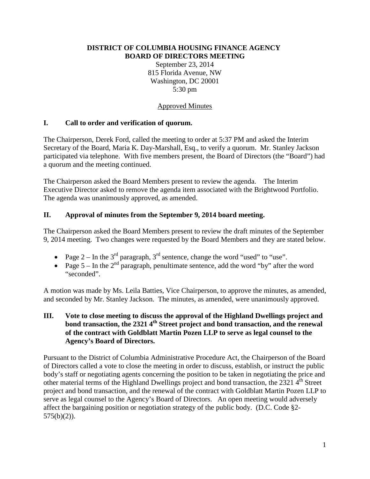### **DISTRICT OF COLUMBIA HOUSING FINANCE AGENCY BOARD OF DIRECTORS MEETING**

September 23, 2014 815 Florida Avenue, NW Washington, DC 20001 5:30 pm

## Approved Minutes

# **I. Call to order and verification of quorum.**

The Chairperson, Derek Ford, called the meeting to order at 5:37 PM and asked the Interim Secretary of the Board, Maria K. Day-Marshall, Esq., to verify a quorum. Mr. Stanley Jackson participated via telephone. With five members present, the Board of Directors (the "Board") had a quorum and the meeting continued.

The Chairperson asked the Board Members present to review the agenda. The Interim Executive Director asked to remove the agenda item associated with the Brightwood Portfolio. The agenda was unanimously approved, as amended.

# **II. Approval of minutes from the September 9, 2014 board meeting.**

The Chairperson asked the Board Members present to review the draft minutes of the September 9, 2014 meeting. Two changes were requested by the Board Members and they are stated below.

- Page  $2 \text{In the } 3^{\text{rd}}$  paragraph,  $3^{\text{rd}}$  sentence, change the word "used" to "use".
- Page  $5 \ln \text{ the } 2^{\text{nd}}$  paragraph, penultimate sentence, add the word "by" after the word "seconded".

A motion was made by Ms. Leila Batties, Vice Chairperson, to approve the minutes, as amended, and seconded by Mr. Stanley Jackson. The minutes, as amended, were unanimously approved.

## **III. Vote to close meeting to discuss the approval of the Highland Dwellings project and bond transaction, the 2321 4th Street project and bond transaction, and the renewal of the contract with Goldblatt Martin Pozen LLP to serve as legal counsel to the Agency's Board of Directors.**

Pursuant to the District of Columbia Administrative Procedure Act, the Chairperson of the Board of Directors called a vote to close the meeting in order to discuss, establish, or instruct the public body's staff or negotiating agents concerning the position to be taken in negotiating the price and other material terms of the Highland Dwellings project and bond transaction, the 2321 4<sup>th</sup> Street project and bond transaction, and the renewal of the contract with Goldblatt Martin Pozen LLP to serve as legal counsel to the Agency's Board of Directors. An open meeting would adversely affect the bargaining position or negotiation strategy of the public body. (D.C. Code §2-  $575(b)(2)$ ).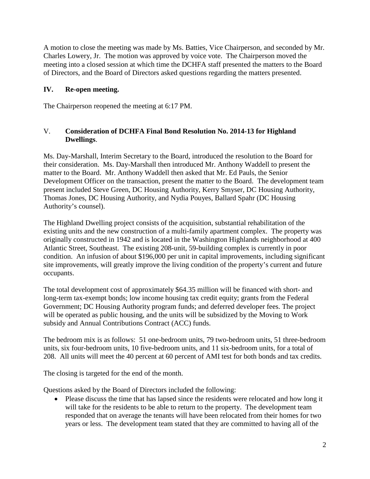A motion to close the meeting was made by Ms. Batties, Vice Chairperson, and seconded by Mr. Charles Lowery, Jr. The motion was approved by voice vote. The Chairperson moved the meeting into a closed session at which time the DCHFA staff presented the matters to the Board of Directors, and the Board of Directors asked questions regarding the matters presented.

## **IV. Re-open meeting.**

The Chairperson reopened the meeting at 6:17 PM.

## V. **Consideration of DCHFA Final Bond Resolution No. 2014-13 for Highland Dwellings**.

Ms. Day-Marshall, Interim Secretary to the Board, introduced the resolution to the Board for their consideration. Ms. Day-Marshall then introduced Mr. Anthony Waddell to present the matter to the Board. Mr. Anthony Waddell then asked that Mr. Ed Pauls, the Senior Development Officer on the transaction, present the matter to the Board. The development team present included Steve Green, DC Housing Authority, Kerry Smyser, DC Housing Authority, Thomas Jones, DC Housing Authority, and Nydia Pouyes, Ballard Spahr (DC Housing Authority's counsel).

The Highland Dwelling project consists of the acquisition, substantial rehabilitation of the existing units and the new construction of a multi-family apartment complex. The property was originally constructed in 1942 and is located in the Washington Highlands neighborhood at 400 Atlantic Street, Southeast. The existing 208-unit, 59-building complex is currently in poor condition. An infusion of about \$196,000 per unit in capital improvements, including significant site improvements, will greatly improve the living condition of the property's current and future occupants.

The total development cost of approximately \$64.35 million will be financed with short- and long-term tax-exempt bonds; low income housing tax credit equity; grants from the Federal Government; DC Housing Authority program funds; and deferred developer fees. The project will be operated as public housing, and the units will be subsidized by the Moving to Work subsidy and Annual Contributions Contract (ACC) funds.

The bedroom mix is as follows: 51 one-bedroom units, 79 two-bedroom units, 51 three-bedroom units, six four-bedroom units, 10 five-bedroom units, and 11 six-bedroom units, for a total of 208. All units will meet the 40 percent at 60 percent of AMI test for both bonds and tax credits.

The closing is targeted for the end of the month.

Questions asked by the Board of Directors included the following:

• Please discuss the time that has lapsed since the residents were relocated and how long it will take for the residents to be able to return to the property. The development team responded that on average the tenants will have been relocated from their homes for two years or less. The development team stated that they are committed to having all of the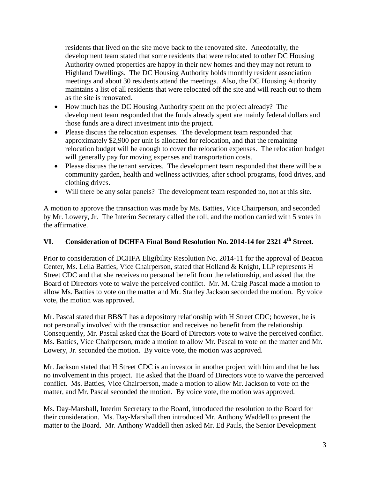residents that lived on the site move back to the renovated site. Anecdotally, the development team stated that some residents that were relocated to other DC Housing Authority owned properties are happy in their new homes and they may not return to Highland Dwellings. The DC Housing Authority holds monthly resident association meetings and about 30 residents attend the meetings. Also, the DC Housing Authority maintains a list of all residents that were relocated off the site and will reach out to them as the site is renovated.

- How much has the DC Housing Authority spent on the project already? The development team responded that the funds already spent are mainly federal dollars and those funds are a direct investment into the project.
- Please discuss the relocation expenses. The development team responded that approximately \$2,900 per unit is allocated for relocation, and that the remaining relocation budget will be enough to cover the relocation expenses. The relocation budget will generally pay for moving expenses and transportation costs.
- Please discuss the tenant services. The development team responded that there will be a community garden, health and wellness activities, after school programs, food drives, and clothing drives.
- Will there be any solar panels? The development team responded no, not at this site.

A motion to approve the transaction was made by Ms. Batties, Vice Chairperson, and seconded by Mr. Lowery, Jr. The Interim Secretary called the roll, and the motion carried with 5 votes in the affirmative.

# **VI. Consideration of DCHFA Final Bond Resolution No. 2014-14 for 2321 4th Street.**

Prior to consideration of DCHFA Eligibility Resolution No. 2014-11 for the approval of Beacon Center, Ms. Leila Batties, Vice Chairperson, stated that Holland & Knight, LLP represents H Street CDC and that she receives no personal benefit from the relationship, and asked that the Board of Directors vote to waive the perceived conflict. Mr. M. Craig Pascal made a motion to allow Ms. Batties to vote on the matter and Mr. Stanley Jackson seconded the motion. By voice vote, the motion was approved.

Mr. Pascal stated that BB&T has a depository relationship with H Street CDC; however, he is not personally involved with the transaction and receives no benefit from the relationship. Consequently, Mr. Pascal asked that the Board of Directors vote to waive the perceived conflict. Ms. Batties, Vice Chairperson, made a motion to allow Mr. Pascal to vote on the matter and Mr. Lowery, Jr. seconded the motion. By voice vote, the motion was approved.

Mr. Jackson stated that H Street CDC is an investor in another project with him and that he has no involvement in this project. He asked that the Board of Directors vote to waive the perceived conflict. Ms. Batties, Vice Chairperson, made a motion to allow Mr. Jackson to vote on the matter, and Mr. Pascal seconded the motion. By voice vote, the motion was approved.

Ms. Day-Marshall, Interim Secretary to the Board, introduced the resolution to the Board for their consideration. Ms. Day-Marshall then introduced Mr. Anthony Waddell to present the matter to the Board. Mr. Anthony Waddell then asked Mr. Ed Pauls, the Senior Development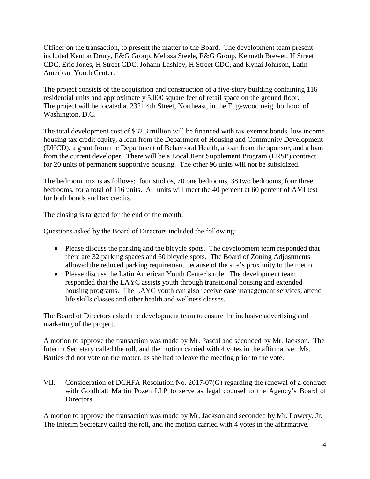Officer on the transaction, to present the matter to the Board. The development team present included Kenton Drury, E&G Group, Melissa Steele, E&G Group, Kenneth Brewer, H Street CDC, Eric Jones, H Street CDC, Johann Lashley, H Street CDC, and Kynai Johnson, Latin American Youth Center.

The project consists of the acquisition and construction of a five-story building containing 116 residential units and approximately 5,000 square feet of retail space on the ground floor. The project will be located at 2321 4th Street, Northeast, in the Edgewood neighborhood of Washington, D.C.

The total development cost of \$32.3 million will be financed with tax exempt bonds, low income housing tax credit equity, a loan from the Department of Housing and Community Development (DHCD), a grant from the Department of Behavioral Health, a loan from the sponsor, and a loan from the current developer. There will be a Local Rent Supplement Program (LRSP) contract for 20 units of permanent supportive housing. The other 96 units will not be subsidized.

The bedroom mix is as follows: four studios, 70 one bedrooms, 38 two bedrooms, four three bedrooms, for a total of 116 units. All units will meet the 40 percent at 60 percent of AMI test for both bonds and tax credits.

The closing is targeted for the end of the month.

Questions asked by the Board of Directors included the following:

- Please discuss the parking and the bicycle spots. The development team responded that there are 32 parking spaces and 60 bicycle spots. The Board of Zoning Adjustments allowed the reduced parking requirement because of the site's proximity to the metro.
- Please discuss the Latin American Youth Center's role. The development team responded that the LAYC assists youth through transitional housing and extended housing programs. The LAYC youth can also receive case management services, attend life skills classes and other health and wellness classes.

The Board of Directors asked the development team to ensure the inclusive advertising and marketing of the project.

A motion to approve the transaction was made by Mr. Pascal and seconded by Mr. Jackson. The Interim Secretary called the roll, and the motion carried with 4 votes in the affirmative. Ms. Batties did not vote on the matter, as she had to leave the meeting prior to the vote.

VII. Consideration of DCHFA Resolution No. 2017-07(G) regarding the renewal of a contract with Goldblatt Martin Pozen LLP to serve as legal counsel to the Agency's Board of Directors.

A motion to approve the transaction was made by Mr. Jackson and seconded by Mr. Lowery, Jr. The Interim Secretary called the roll, and the motion carried with 4 votes in the affirmative.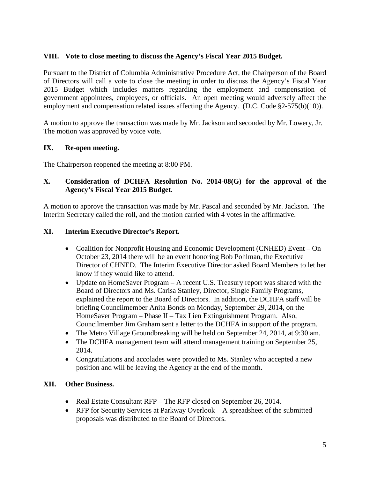# **VIII. Vote to close meeting to discuss the Agency's Fiscal Year 2015 Budget.**

Pursuant to the District of Columbia Administrative Procedure Act, the Chairperson of the Board of Directors will call a vote to close the meeting in order to discuss the Agency's Fiscal Year 2015 Budget which includes matters regarding the employment and compensation of government appointees, employees, or officials. An open meeting would adversely affect the employment and compensation related issues affecting the Agency. (D.C. Code §2-575(b)(10)).

A motion to approve the transaction was made by Mr. Jackson and seconded by Mr. Lowery, Jr. The motion was approved by voice vote.

## **IX. Re-open meeting.**

The Chairperson reopened the meeting at 8:00 PM.

# **X. Consideration of DCHFA Resolution No. 2014-08(G) for the approval of the Agency's Fiscal Year 2015 Budget.**

A motion to approve the transaction was made by Mr. Pascal and seconded by Mr. Jackson. The Interim Secretary called the roll, and the motion carried with 4 votes in the affirmative.

## **XI. Interim Executive Director's Report.**

- Coalition for Nonprofit Housing and Economic Development (CNHED) Event On October 23, 2014 there will be an event honoring Bob Pohlman, the Executive Director of CHNED. The Interim Executive Director asked Board Members to let her know if they would like to attend.
- Update on HomeSaver Program A recent U.S. Treasury report was shared with the Board of Directors and Ms. Carisa Stanley, Director, Single Family Programs, explained the report to the Board of Directors. In addition, the DCHFA staff will be briefing Councilmember Anita Bonds on Monday, September 29, 2014, on the HomeSaver Program – Phase II – Tax Lien Extinguishment Program. Also, Councilmember Jim Graham sent a letter to the DCHFA in support of the program.
- The Metro Village Groundbreaking will be held on September 24, 2014, at 9:30 am.
- The DCHFA management team will attend management training on September 25, 2014.
- Congratulations and accolades were provided to Ms. Stanley who accepted a new position and will be leaving the Agency at the end of the month.

## **XII. Other Business.**

- Real Estate Consultant RFP The RFP closed on September 26, 2014.
- RFP for Security Services at Parkway Overlook A spreadsheet of the submitted proposals was distributed to the Board of Directors.